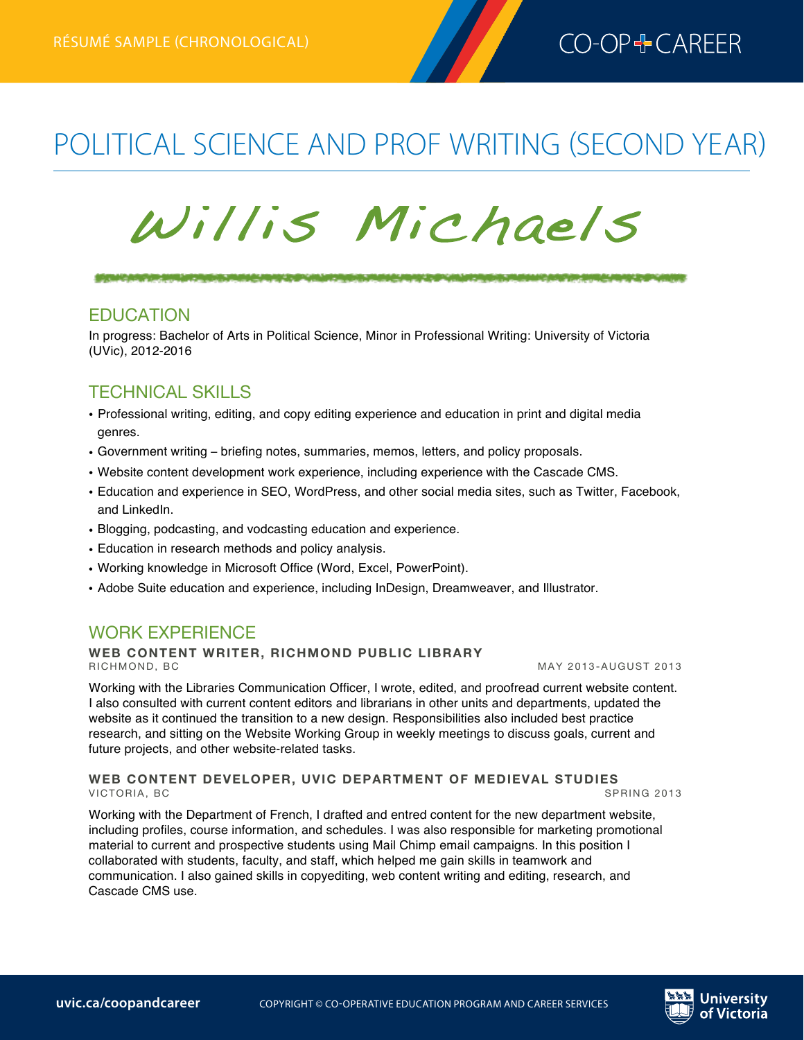

# POLITICAL SCIENCE AND PROF WRITING (SECOND YEAR)

# Willis Michaels

<u>SENICATEM PROJEKTIKOJNIM GLIMA GLIMA (MAJESTIKOJNIM GLIMA) GLIMA (MAJESTIKOJNI GLIMA) MARINIM PROGENERA</u>

### EDUCATION

In progress: Bachelor of Arts in Political Science, Minor in Professional Writing: University of Victoria (UVic), 2012-2016

## TECHNICAL SKILLS

- Professional writing, editing, and copy editing experience and education in print and digital media genres.
- Government writing briefing notes, summaries, memos, letters, and policy proposals.
- Website content development work experience, including experience with the Cascade CMS.
- Education and experience in SEO, WordPress, and other social media sites, such as Twitter, Facebook, and LinkedIn.
- Blogging, podcasting, and vodcasting education and experience.
- Education in research methods and policy analysis.
- Working knowledge in Microsoft Office (Word, Excel, PowerPoint).
- Adobe Suite education and experience, including InDesign, Dreamweaver, and Illustrator.

## WORK EXPERIENCE

# **WEB CONTENT WRITER, RICHMOND PUBLIC LIBRARY**

Working with the Libraries Communication Officer, I wrote, edited, and proofread current website content. I also consulted with current content editors and librarians in other units and departments, updated the website as it continued the transition to a new design. Responsibilities also included best practice research, and sitting on the Website Working Group in weekly meetings to discuss goals, current and future projects, and other website-related tasks.

#### **WEB CONTENT DEVELOPER, UVIC DEPARTMENT OF MEDIEVAL STUDIES** VICTORIA, BC

Working with the Department of French, I drafted and entred content for the new department website, including profiles, course information, and schedules. I was also responsible for marketing promotional material to current and prospective students using Mail Chimp email campaigns. In this position I collaborated with students, faculty, and staff, which helped me gain skills in teamwork and communication. I also gained skills in copyediting, web content writing and editing, research, and Cascade CMS use.

**MAY 2013-AUGUST 2013**